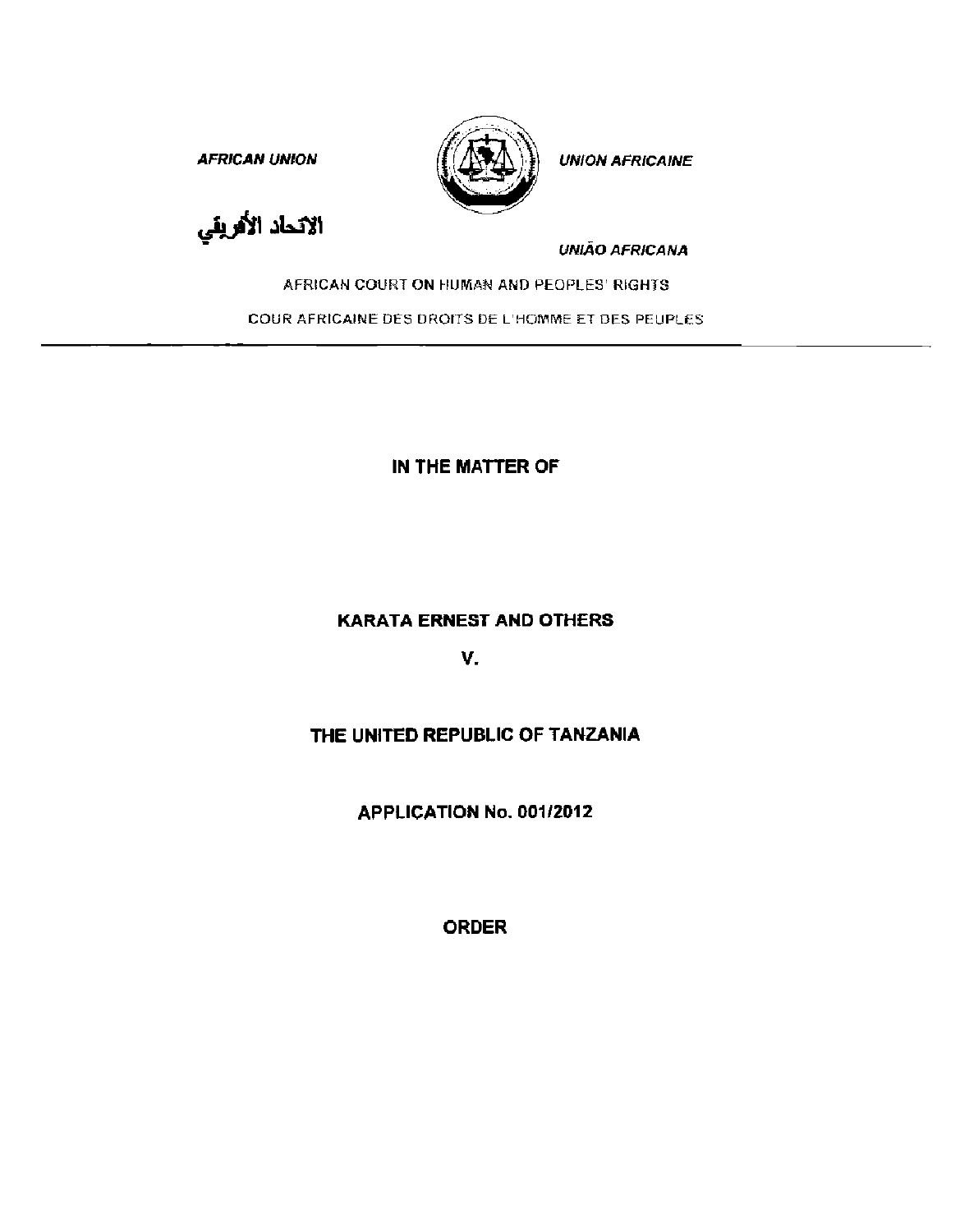AFRICAN UNION  $(\{\sqrt{N}\})\}$  UNION AFRICAINE



الاتحاد الأفريقي

UNIAO AFRICANA

AFRICAN COURT ON HUMAN AND PEOPLES' RIGHTS

COUR AFRICAINE DES DROITS DE L'HOMME ET DES PEUPLES

IN THE MATTER OF

**KARATA ERNEST AND OTHERS** 

v.

## THE UNITED REPUBLIC OF TANZANIA

APPLICATION No. 001/2012

ORDER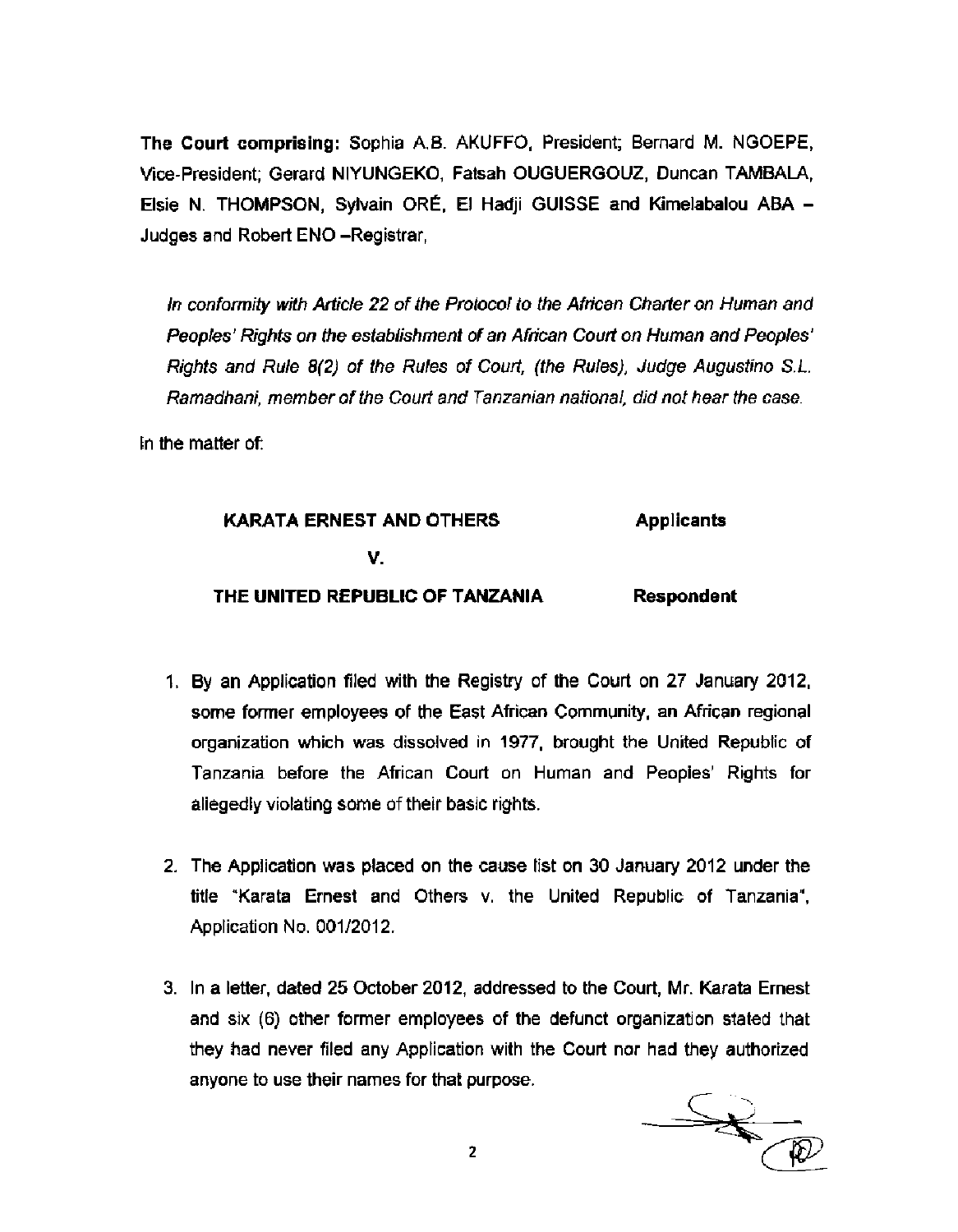**The Court comprising:** Sophia A.B. AKUFFO, President; Bernard M. NGOEPE, Vice-President; Gerard NIYUNGEKO, Fatsah OUGUERGOUZ, Duncan TAMBALA, Elsie N. THOMPSON, Sylvain ORE, El Hadji GUISSE and Kimelabalou ABA - Judges and Robert ENO -Registrar,

In conformity with Article 22 of the Protocol to the African Charter on Human and Peoples' Rights on the establishment of an African Court on Human and Peoples' Rights and Rule 8(2) of the Rules of Court, (the Rules), Judge Augustino S.L. Ramadhani, member of the Court and Tanzanian national, did not hear the case.

In the matter of:

## **KARATA ERNEST AND OTHERS v. THE UNITED REPUBLIC OF TANZANIA Applicants Respondent**

- 1. By an Application filed with the Registry of the Court on 27 January 2012, some former employees of the East African Community, an African regional organization which was dissolved in 1977, brought the United Republic of Tanzania before the African Court on Human and Peoples' Rights for allegedly violating some of their basic rights.
- 2. The Application was placed on the cause list on 30 January 2012 under the title "Karata Ernest and Others v. the United Republic of Tanzania", Application No. 001/2012.
- 3. In a letter, dated 25 October 2012, addressed to the Court, Mr. Karata Ernest and six (6) other former employees of the defunct organization stated that they had never filed any Application with the Court nor had they authorized anyone to use their names for that purpose.

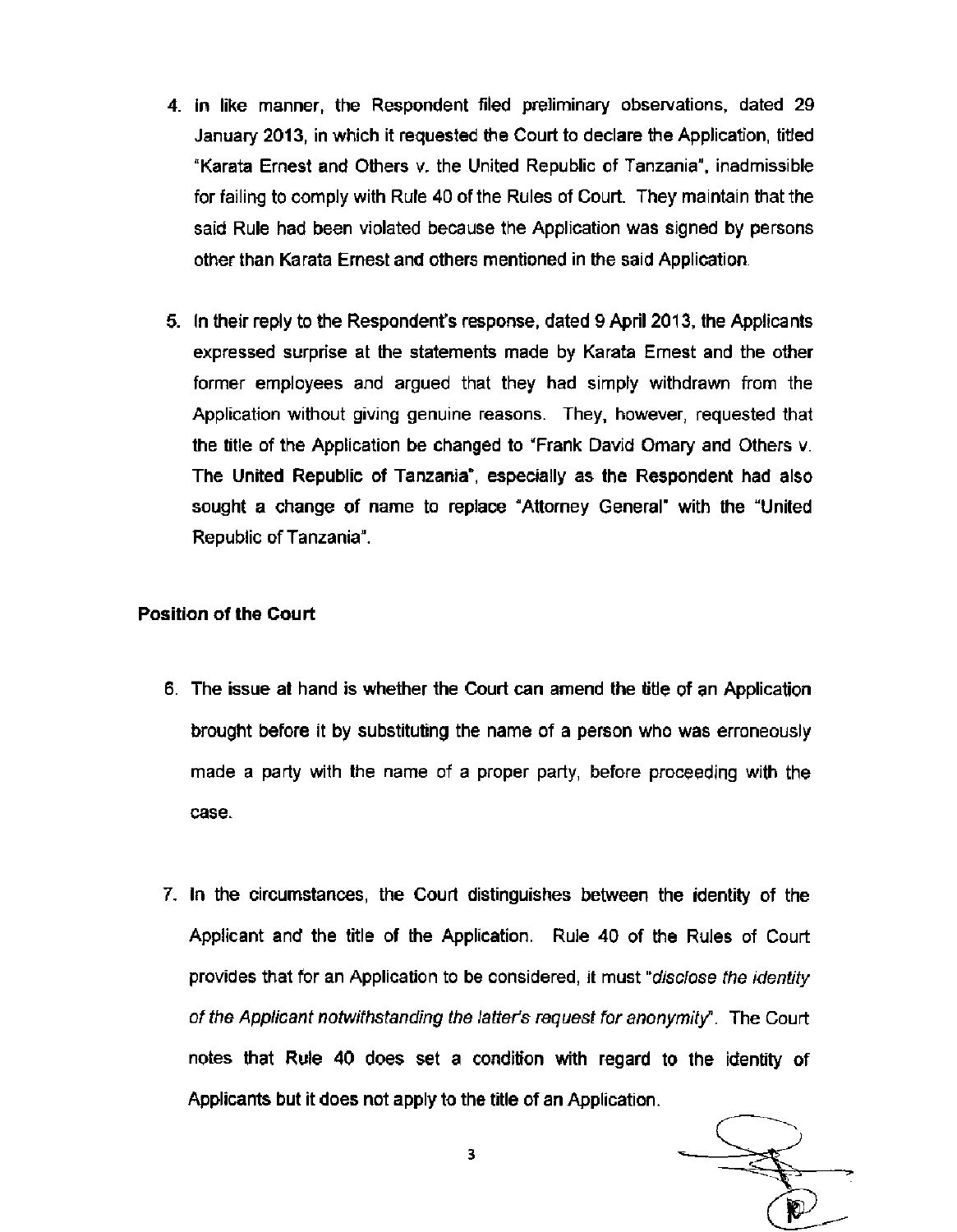- 4. In like manner, the Respondent filed preliminary observations, dated 29 January 2013, in which it requested the Court to declare the Application, titled "Karata Ernest and Others v. the United Republic of Tanzania", inadmissible for failing to comply with Rule 40 of the Rules of Court. They maintain that the said Rule had been violated because the Application was signed by persons other than Karata Ernest and others mentioned in the said Application.
- 5. In their reply to the Respondent's response, dated 9 April 2013, the Applicants expressed surprise at the statements made by Karata Ernest and the other former employees and argued that they had simply withdrawn from the Application without giving genuine reasons. They, however, requested that the title of the Application be changed to "Frank David Omary and Others v. The United Republic of Tanzania", especially as the Respondent had also sought a change of name to replace "Attorney General" with the "United Republic of Tanzania".

## **Position of the Court**

- 6. The issue at hand is whether the Court can amend the title of an Application brought before it by substituting the name of a person who was erroneously made a party with the name of a proper party, before proceeding with the case.
- 7. In the circumstances, the Court distinguishes between the identity of the Applicant and the title of the Application. Rule 40 of the Rules of Court provides that for an Application to be considered, it must "disclose the identity of the Applicant notwithstanding the latter's request for anonymity". The Court notes that Rule 40 does set a condition with regard to the identity of Applicants but it does not apply to the title of an Application.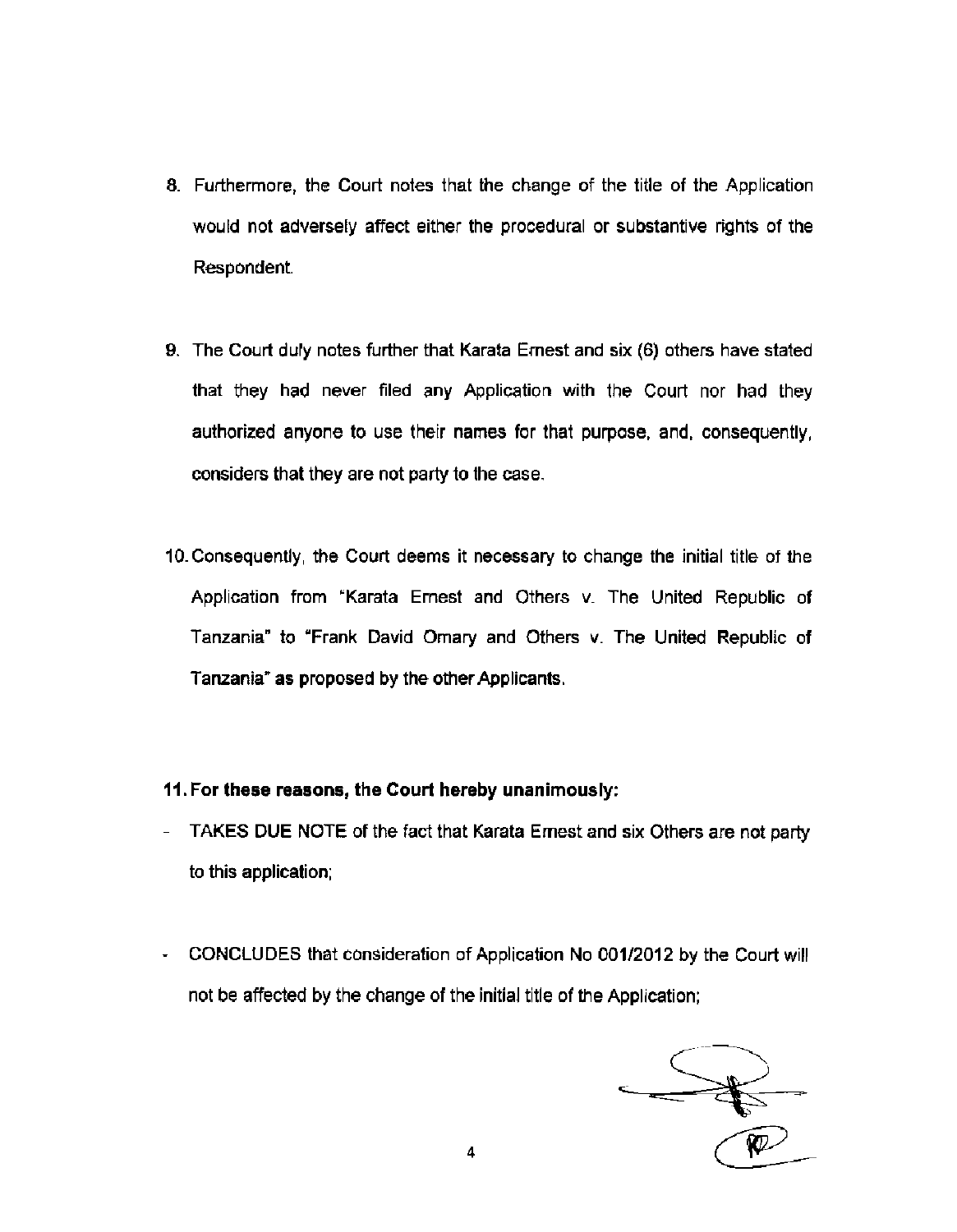- 8. Furthermore, the Court notes that the change of the title of the Application would not adversely affect either the procedural or substantive rights of the Respondent.
- 9. The Court duly notes further that Karata Ernest and six (6) others have stated that they had never filed any Application with the Court nor had they authorized anyone to use their names for that purpose, and, consequently, considers that they are not party to the case.
- 10. Consequently, the Court deems it necessary to change the initial title of the Application from "Karata Ernest and Others v. The United Republic of Tanzania" to "Frank David Omary and Others v. The United Republic of Tanzania" as proposed by the other Applicants.
- **11. For these reasons, the Court hereby unanimously:**
- TAKES DUE NOTE of the fact that Karata Ernest and six Others are not party to this application;
- CONCLUDES that consideration of Application No 001/2012 by the Court will not be affected by the change of the initial title of the Application;